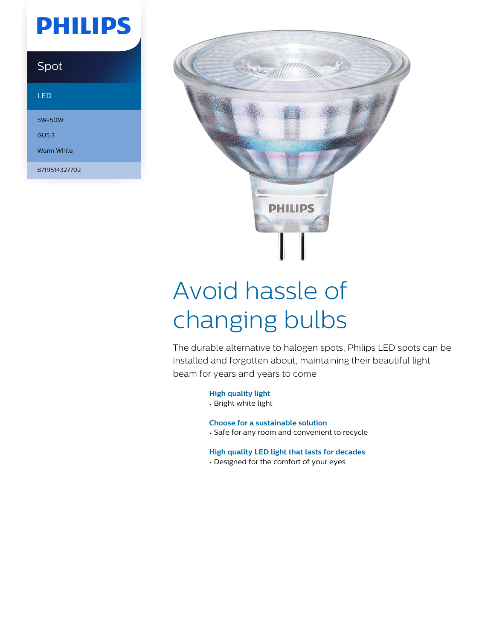# **PHILIPS**

### Spot

#### LED

5W-50W GU5.3

Warm White

8719514327702



# Avoid hassle of changing bulbs

The durable alternative to halogen spots, Philips LED spots can be installed and forgotten about, maintaining their beautiful light beam for years and years to come

#### **High quality light**

• Bright white light

#### **Choose for a sustainable solution**

• Safe for any room and convenient to recycle

#### **High quality LED light that lasts for decades**

• Designed for the comfort of your eyes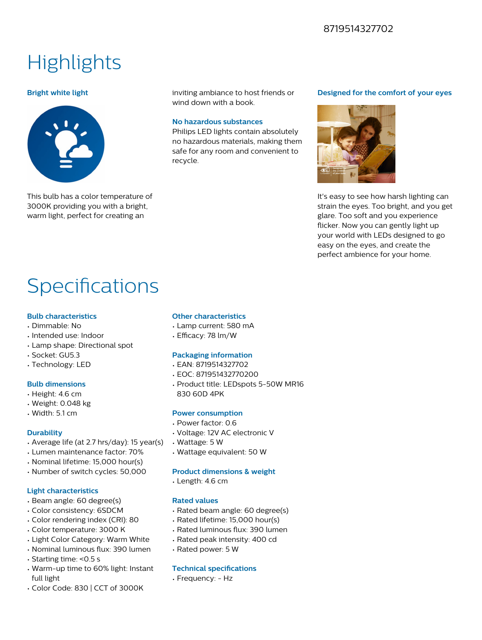### 8719514327702

### **Highlights**

#### **Bright white light**



This bulb has a color temperature of 3000K providing you with a bright, warm light, perfect for creating an

inviting ambiance to host friends or wind down with a book.

#### **No hazardous substances**

Philips LED lights contain absolutely no hazardous materials, making them safe for any room and convenient to recycle.

#### **Designed for the comfort of your eyes**



It's easy to see how harsh lighting can strain the eyes. Too bright, and you get glare. Too soft and you experience flicker. Now you can gently light up your world with LEDs designed to go easy on the eyes, and create the perfect ambience for your home.

## Specifications

#### **Bulb characteristics**

- Dimmable: No
- Intended use: Indoor
- Lamp shape: Directional spot
- Socket: GU5.3
- Technology: LED

#### **Bulb dimensions**

- Height: 4.6 cm
- Weight: 0.048 kg
- Width: 5.1 cm

#### **Durability**

- Average life (at 2.7 hrs/day): 15 year(s)
- Lumen maintenance factor: 70%
- Nominal lifetime: 15,000 hour(s)
- Number of switch cycles: 50,000

#### **Light characteristics**

- Beam angle: 60 degree(s)
- Color consistency: 6SDCM
- Color rendering index (CRI): 80
- Color temperature: 3000 K
- Light Color Category: Warm White
- Nominal luminous flux: 390 lumen
- Starting time: <0.5 s
- Warm-up time to 60% light: Instant full light
- Color Code: 830 | CCT of 3000K

#### **Other characteristics**

- Lamp current: 580 mA
- Efficacy: 78 lm/W

#### **Packaging information**

- EAN: 8719514327702
- EOC: 871951432770200
- Product title: LEDspots 5-50W MR16 830 60D 4PK

#### **Power consumption**

- Power factor: 0.6
- Voltage: 12V AC electronic V
- Wattage: 5 W
- Wattage equivalent: 50 W

#### **Product dimensions & weight**

• Length: 4.6 cm

#### **Rated values**

- Rated beam angle: 60 degree(s)
- Rated lifetime: 15,000 hour(s)
- Rated luminous flux: 390 lumen
- Rated peak intensity: 400 cd
- Rated power: 5 W

#### **Technical specifications**

• Frequency: - Hz